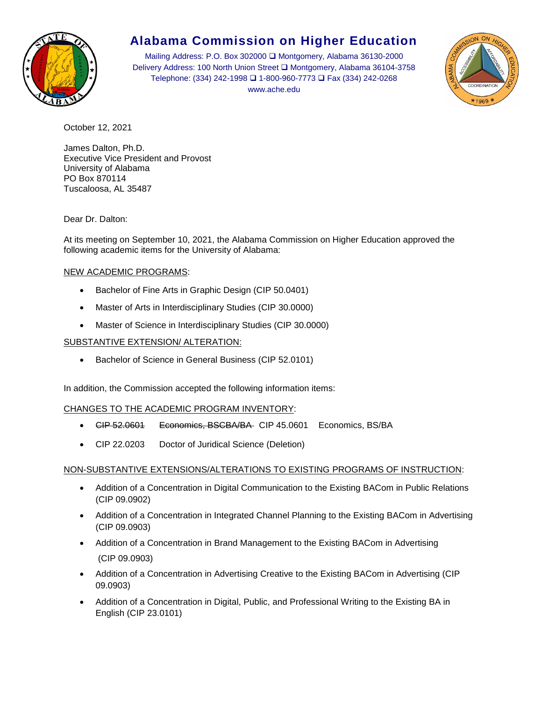

# **Alabama Commission on Higher Education**

Mailing Address: P.O. Box 302000 ❑ Montgomery, Alabama 36130-2000 Delivery Address: 100 North Union Street ❑ Montgomery, Alabama 36104-3758 Telephone: (334) 242-1998 ❑ 1-800-960-7773 ❑ Fax (334) 242-0268 www.ache.edu



October 12, 2021

James Dalton, Ph.D. Executive Vice President and Provost University of Alabama PO Box 870114 Tuscaloosa, AL 35487

Dear Dr. Dalton:

At its meeting on September 10, 2021, the Alabama Commission on Higher Education approved the following academic items for the University of Alabama:

## NEW ACADEMIC PROGRAMS:

- Bachelor of Fine Arts in Graphic Design (CIP 50.0401)
- Master of Arts in Interdisciplinary Studies (CIP 30.0000)
- Master of Science in Interdisciplinary Studies (CIP 30.0000)

### SUBSTANTIVE EXTENSION/ ALTERATION:

• Bachelor of Science in General Business (CIP 52.0101)

In addition, the Commission accepted the following information items:

### CHANGES TO THE ACADEMIC PROGRAM INVENTORY:

- CIP 52.0601 Economics, BSCBA/BA CIP 45.0601 Economics, BS/BA
- CIP 22.0203 Doctor of Juridical Science (Deletion)

### NON-SUBSTANTIVE EXTENSIONS/ALTERATIONS TO EXISTING PROGRAMS OF INSTRUCTION:

- Addition of a Concentration in Digital Communication to the Existing BACom in Public Relations (CIP 09.0902)
- Addition of a Concentration in Integrated Channel Planning to the Existing BACom in Advertising (CIP 09.0903)
- Addition of a Concentration in Brand Management to the Existing BACom in Advertising (CIP 09.0903)
- Addition of a Concentration in Advertising Creative to the Existing BACom in Advertising (CIP 09.0903)
- Addition of a Concentration in Digital, Public, and Professional Writing to the Existing BA in English (CIP 23.0101)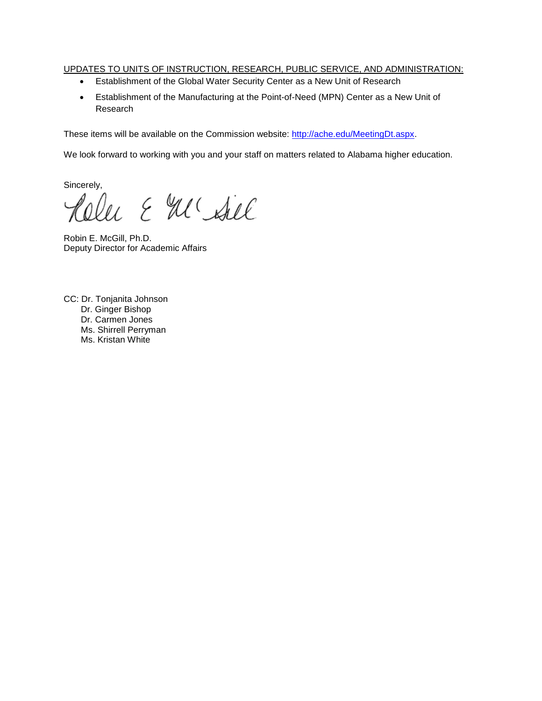### UPDATES TO UNITS OF INSTRUCTION, RESEARCH, PUBLIC SERVICE, AND ADMINISTRATION:

- Establishment of the Global Water Security Center as a New Unit of Research
- Establishment of the Manufacturing at the Point-of-Need (MPN) Center as a New Unit of Research

These items will be available on the Commission website: [http://ache.edu/MeetingDt.aspx.](http://ache.edu/MeetingDt.aspx)

We look forward to working with you and your staff on matters related to Alabama higher education.

Sincerely,

u & M'Ail

Robin E. McGill, Ph.D. Deputy Director for Academic Affairs

CC: Dr. Tonjanita Johnson Dr. Ginger Bishop Dr. Carmen Jones Ms. Shirrell Perryman Ms. Kristan White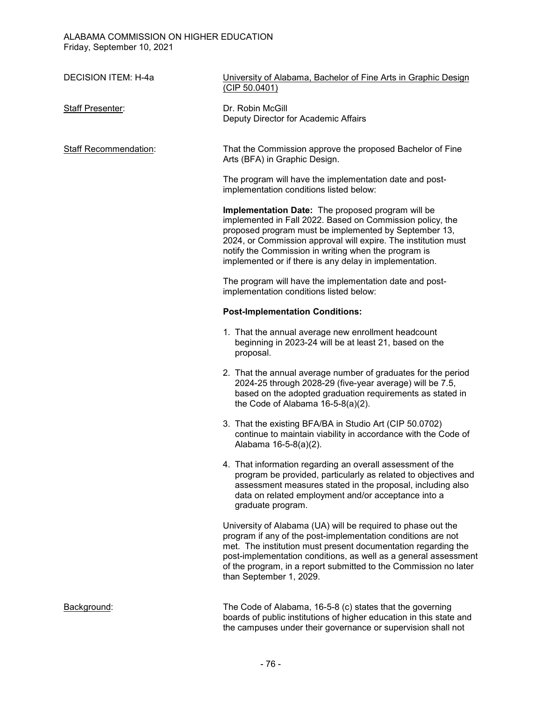| <b>DECISION ITEM: H-4a</b>   | University of Alabama, Bachelor of Fine Arts in Graphic Design<br>(CIP 50.0401)                                                                                                                                                                                                                                                                                 |
|------------------------------|-----------------------------------------------------------------------------------------------------------------------------------------------------------------------------------------------------------------------------------------------------------------------------------------------------------------------------------------------------------------|
| <b>Staff Presenter:</b>      | Dr. Robin McGill<br>Deputy Director for Academic Affairs                                                                                                                                                                                                                                                                                                        |
| <b>Staff Recommendation:</b> | That the Commission approve the proposed Bachelor of Fine<br>Arts (BFA) in Graphic Design.                                                                                                                                                                                                                                                                      |
|                              | The program will have the implementation date and post-<br>implementation conditions listed below:                                                                                                                                                                                                                                                              |
|                              | Implementation Date: The proposed program will be<br>implemented in Fall 2022. Based on Commission policy, the<br>proposed program must be implemented by September 13,<br>2024, or Commission approval will expire. The institution must<br>notify the Commission in writing when the program is<br>implemented or if there is any delay in implementation.    |
|                              | The program will have the implementation date and post-<br>implementation conditions listed below:                                                                                                                                                                                                                                                              |
|                              | <b>Post-Implementation Conditions:</b>                                                                                                                                                                                                                                                                                                                          |
|                              | 1. That the annual average new enrollment headcount<br>beginning in 2023-24 will be at least 21, based on the<br>proposal.                                                                                                                                                                                                                                      |
|                              | 2. That the annual average number of graduates for the period<br>2024-25 through 2028-29 (five-year average) will be 7.5,<br>based on the adopted graduation requirements as stated in<br>the Code of Alabama $16-5-8(a)(2)$ .                                                                                                                                  |
|                              | 3. That the existing BFA/BA in Studio Art (CIP 50.0702)<br>continue to maintain viability in accordance with the Code of<br>Alabama 16-5-8(a)(2).                                                                                                                                                                                                               |
|                              | 4. That information regarding an overall assessment of the<br>program be provided, particularly as related to objectives and<br>assessment measures stated in the proposal, including also<br>data on related employment and/or acceptance into a<br>graduate program.                                                                                          |
|                              | University of Alabama (UA) will be required to phase out the<br>program if any of the post-implementation conditions are not<br>met. The institution must present documentation regarding the<br>post-implementation conditions, as well as a general assessment<br>of the program, in a report submitted to the Commission no later<br>than September 1, 2029. |
| Background:                  | The Code of Alabama, 16-5-8 (c) states that the governing<br>boards of public institutions of higher education in this state and                                                                                                                                                                                                                                |

the campuses under their governance or supervision shall not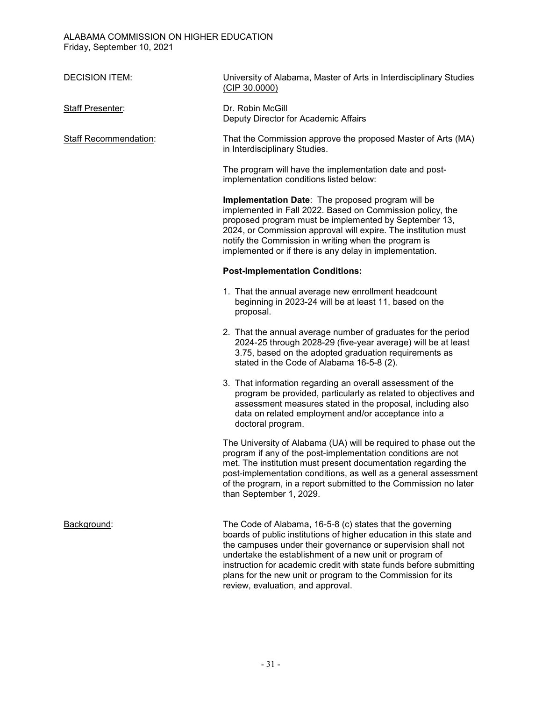| <b>DECISION ITEM:</b>        | University of Alabama, Master of Arts in Interdisciplinary Studies<br>(CIP 30.0000)                                                                                                                                                                                                                                                                                 |
|------------------------------|---------------------------------------------------------------------------------------------------------------------------------------------------------------------------------------------------------------------------------------------------------------------------------------------------------------------------------------------------------------------|
| <b>Staff Presenter:</b>      | Dr. Robin McGill<br>Deputy Director for Academic Affairs                                                                                                                                                                                                                                                                                                            |
| <b>Staff Recommendation:</b> | That the Commission approve the proposed Master of Arts (MA)<br>in Interdisciplinary Studies.                                                                                                                                                                                                                                                                       |
|                              | The program will have the implementation date and post-<br>implementation conditions listed below:                                                                                                                                                                                                                                                                  |
|                              | Implementation Date: The proposed program will be<br>implemented in Fall 2022. Based on Commission policy, the<br>proposed program must be implemented by September 13,<br>2024, or Commission approval will expire. The institution must<br>notify the Commission in writing when the program is<br>implemented or if there is any delay in implementation.        |
|                              | <b>Post-Implementation Conditions:</b>                                                                                                                                                                                                                                                                                                                              |
|                              | 1. That the annual average new enrollment headcount<br>beginning in 2023-24 will be at least 11, based on the<br>proposal.                                                                                                                                                                                                                                          |
|                              | 2. That the annual average number of graduates for the period<br>2024-25 through 2028-29 (five-year average) will be at least<br>3.75, based on the adopted graduation requirements as<br>stated in the Code of Alabama 16-5-8 (2).                                                                                                                                 |
|                              | 3. That information regarding an overall assessment of the<br>program be provided, particularly as related to objectives and<br>assessment measures stated in the proposal, including also<br>data on related employment and/or acceptance into a<br>doctoral program.                                                                                              |
|                              | The University of Alabama (UA) will be required to phase out the<br>program if any of the post-implementation conditions are not<br>met. The institution must present documentation regarding the<br>post-implementation conditions, as well as a general assessment<br>of the program, in a report submitted to the Commission no later<br>than September 1, 2029. |
| Background:                  | The Code of Alabama, 16-5-8 (c) states that the governing<br>boards of public institutions of higher education in this state and<br>the campuses under their governance or supervision shall not<br>undertake the establishment of a new unit or program of<br>instruction for academic credit with state funds before submitting                                   |

review, evaluation, and approval.

plans for the new unit or program to the Commission for its